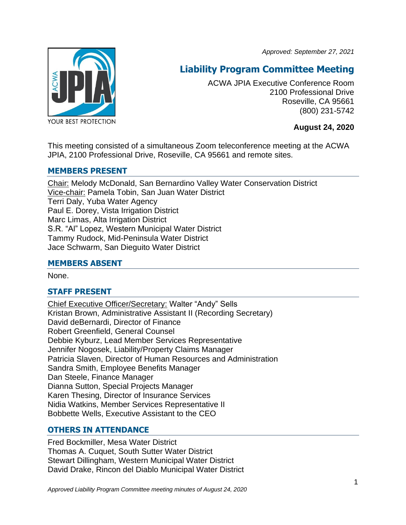*Approved: September 27, 2021*



# **Liability Program Committee Meeting**

ACWA JPIA Executive Conference Room 2100 Professional Drive Roseville, CA 95661 (800) 231-5742

**August 24, 2020**

This meeting consisted of a simultaneous Zoom teleconference meeting at the ACWA JPIA, 2100 Professional Drive, Roseville, CA 95661 and remote sites.

# **MEMBERS PRESENT**

Chair: Melody McDonald, San Bernardino Valley Water Conservation District Vice-chair: Pamela Tobin, San Juan Water District Terri Daly, Yuba Water Agency Paul E. Dorey, Vista Irrigation District Marc Limas, Alta Irrigation District S.R. "Al" Lopez, Western Municipal Water District Tammy Rudock, Mid-Peninsula Water District Jace Schwarm, San Dieguito Water District

# **MEMBERS ABSENT**

None.

# **STAFF PRESENT**

Chief Executive Officer/Secretary: Walter "Andy" Sells Kristan Brown, Administrative Assistant II (Recording Secretary) David deBernardi, Director of Finance Robert Greenfield, General Counsel Debbie Kyburz, Lead Member Services Representative Jennifer Nogosek, Liability/Property Claims Manager Patricia Slaven, Director of Human Resources and Administration Sandra Smith, Employee Benefits Manager Dan Steele, Finance Manager Dianna Sutton, Special Projects Manager Karen Thesing, Director of Insurance Services Nidia Watkins, Member Services Representative II Bobbette Wells, Executive Assistant to the CEO

# **OTHERS IN ATTENDANCE**

Fred Bockmiller, Mesa Water District Thomas A. Cuquet, South Sutter Water District Stewart Dillingham, Western Municipal Water District David Drake, Rincon del Diablo Municipal Water District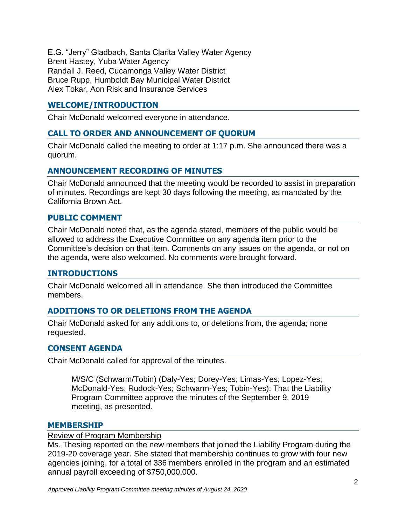E.G. "Jerry" Gladbach, Santa Clarita Valley Water Agency Brent Hastey, Yuba Water Agency Randall J. Reed, Cucamonga Valley Water District Bruce Rupp, Humboldt Bay Municipal Water District Alex Tokar, Aon Risk and Insurance Services

# **WELCOME/INTRODUCTION**

Chair McDonald welcomed everyone in attendance.

# **CALL TO ORDER AND ANNOUNCEMENT OF QUORUM**

Chair McDonald called the meeting to order at 1:17 p.m. She announced there was a quorum.

# **ANNOUNCEMENT RECORDING OF MINUTES**

Chair McDonald announced that the meeting would be recorded to assist in preparation of minutes. Recordings are kept 30 days following the meeting, as mandated by the California Brown Act.

### **PUBLIC COMMENT**

Chair McDonald noted that, as the agenda stated, members of the public would be allowed to address the Executive Committee on any agenda item prior to the Committee's decision on that item. Comments on any issues on the agenda, or not on the agenda, were also welcomed. No comments were brought forward.

#### **INTRODUCTIONS**

Chair McDonald welcomed all in attendance. She then introduced the Committee members.

# **ADDITIONS TO OR DELETIONS FROM THE AGENDA**

Chair McDonald asked for any additions to, or deletions from, the agenda; none requested.

#### **CONSENT AGENDA**

Chair McDonald called for approval of the minutes.

M/S/C (Schwarm/Tobin) (Daly-Yes; Dorey-Yes; Limas-Yes; Lopez-Yes; McDonald-Yes; Rudock-Yes; Schwarm-Yes; Tobin-Yes): That the Liability Program Committee approve the minutes of the September 9, 2019 meeting, as presented.

#### **MEMBERSHIP**

#### Review of Program Membership

Ms. Thesing reported on the new members that joined the Liability Program during the 2019-20 coverage year. She stated that membership continues to grow with four new agencies joining, for a total of 336 members enrolled in the program and an estimated annual payroll exceeding of \$750,000,000.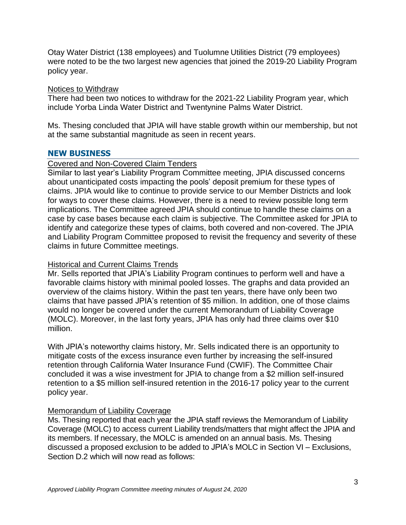Otay Water District (138 employees) and Tuolumne Utilities District (79 employees) were noted to be the two largest new agencies that joined the 2019-20 Liability Program policy year.

#### Notices to Withdraw

There had been two notices to withdraw for the 2021-22 Liability Program year, which include Yorba Linda Water District and Twentynine Palms Water District.

Ms. Thesing concluded that JPIA will have stable growth within our membership, but not at the same substantial magnitude as seen in recent years.

### **NEW BUSINESS**

### Covered and Non-Covered Claim Tenders

Similar to last year's Liability Program Committee meeting, JPIA discussed concerns about unanticipated costs impacting the pools' deposit premium for these types of claims. JPIA would like to continue to provide service to our Member Districts and look for ways to cover these claims. However, there is a need to review possible long term implications. The Committee agreed JPIA should continue to handle these claims on a case by case bases because each claim is subjective. The Committee asked for JPIA to identify and categorize these types of claims, both covered and non-covered. The JPIA and Liability Program Committee proposed to revisit the frequency and severity of these claims in future Committee meetings.

# Historical and Current Claims Trends

Mr. Sells reported that JPIA's Liability Program continues to perform well and have a favorable claims history with minimal pooled losses. The graphs and data provided an overview of the claims history. Within the past ten years, there have only been two claims that have passed JPIA's retention of \$5 million. In addition, one of those claims would no longer be covered under the current Memorandum of Liability Coverage (MOLC). Moreover, in the last forty years, JPIA has only had three claims over \$10 million.

With JPIA's noteworthy claims history, Mr. Sells indicated there is an opportunity to mitigate costs of the excess insurance even further by increasing the self-insured retention through California Water Insurance Fund (CWIF). The Committee Chair concluded it was a wise investment for JPIA to change from a \$2 million self-insured retention to a \$5 million self-insured retention in the 2016-17 policy year to the current policy year.

# Memorandum of Liability Coverage

Ms. Thesing reported that each year the JPIA staff reviews the Memorandum of Liability Coverage (MOLC) to access current Liability trends/matters that might affect the JPIA and its members. If necessary, the MOLC is amended on an annual basis. Ms. Thesing discussed a proposed exclusion to be added to JPIA's MOLC in Section VI – Exclusions, Section D.2 which will now read as follows: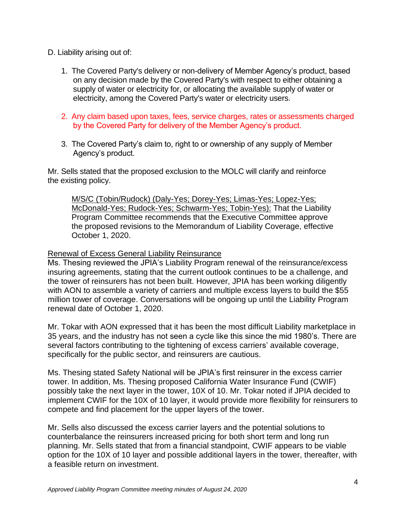### D. Liability arising out of:

- 1. The Covered Party's delivery or non-delivery of Member Agency's product, based on any decision made by the Covered Party's with respect to either obtaining a supply of water or electricity for, or allocating the available supply of water or electricity, among the Covered Party's water or electricity users.
- 2. Any claim based upon taxes, fees, service charges, rates or assessments charged by the Covered Party for delivery of the Member Agency's product.
- 3. The Covered Party's claim to, right to or ownership of any supply of Member Agency's product.

Mr. Sells stated that the proposed exclusion to the MOLC will clarify and reinforce the existing policy.

M/S/C (Tobin/Rudock) (Daly-Yes; Dorey-Yes; Limas-Yes; Lopez-Yes; McDonald-Yes; Rudock-Yes; Schwarm-Yes; Tobin-Yes): That the Liability Program Committee recommends that the Executive Committee approve the proposed revisions to the Memorandum of Liability Coverage, effective October 1, 2020.

### Renewal of Excess General Liability Reinsurance

Ms. Thesing reviewed the JPIA's Liability Program renewal of the reinsurance/excess insuring agreements, stating that the current outlook continues to be a challenge, and the tower of reinsurers has not been built. However, JPIA has been working diligently with AON to assemble a variety of carriers and multiple excess layers to build the \$55 million tower of coverage. Conversations will be ongoing up until the Liability Program renewal date of October 1, 2020.

Mr. Tokar with AON expressed that it has been the most difficult Liability marketplace in 35 years, and the industry has not seen a cycle like this since the mid 1980's. There are several factors contributing to the tightening of excess carriers' available coverage, specifically for the public sector, and reinsurers are cautious.

Ms. Thesing stated Safety National will be JPIA's first reinsurer in the excess carrier tower. In addition, Ms. Thesing proposed California Water Insurance Fund (CWIF) possibly take the next layer in the tower, 10X of 10. Mr. Tokar noted if JPIA decided to implement CWIF for the 10X of 10 layer, it would provide more flexibility for reinsurers to compete and find placement for the upper layers of the tower.

Mr. Sells also discussed the excess carrier layers and the potential solutions to counterbalance the reinsurers increased pricing for both short term and long run planning. Mr. Sells stated that from a financial standpoint, CWIF appears to be viable option for the 10X of 10 layer and possible additional layers in the tower, thereafter, with a feasible return on investment.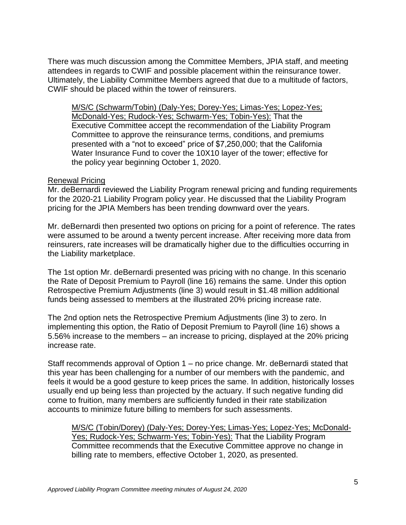There was much discussion among the Committee Members, JPIA staff, and meeting attendees in regards to CWIF and possible placement within the reinsurance tower. Ultimately, the Liability Committee Members agreed that due to a multitude of factors, CWIF should be placed within the tower of reinsurers.

M/S/C (Schwarm/Tobin) (Daly-Yes; Dorey-Yes; Limas-Yes; Lopez-Yes; McDonald-Yes; Rudock-Yes; Schwarm-Yes; Tobin-Yes): That the Executive Committee accept the recommendation of the Liability Program Committee to approve the reinsurance terms, conditions, and premiums presented with a "not to exceed" price of \$7,250,000; that the California Water Insurance Fund to cover the 10X10 layer of the tower; effective for the policy year beginning October 1, 2020.

#### Renewal Pricing

Mr. deBernardi reviewed the Liability Program renewal pricing and funding requirements for the 2020-21 Liability Program policy year. He discussed that the Liability Program pricing for the JPIA Members has been trending downward over the years.

Mr. deBernardi then presented two options on pricing for a point of reference. The rates were assumed to be around a twenty percent increase. After receiving more data from reinsurers, rate increases will be dramatically higher due to the difficulties occurring in the Liability marketplace.

The 1st option Mr. deBernardi presented was pricing with no change. In this scenario the Rate of Deposit Premium to Payroll (line 16) remains the same. Under this option Retrospective Premium Adjustments (line 3) would result in \$1.48 million additional funds being assessed to members at the illustrated 20% pricing increase rate.

The 2nd option nets the Retrospective Premium Adjustments (line 3) to zero. In implementing this option, the Ratio of Deposit Premium to Payroll (line 16) shows a 5.56% increase to the members – an increase to pricing, displayed at the 20% pricing increase rate.

Staff recommends approval of Option 1 – no price change. Mr. deBernardi stated that this year has been challenging for a number of our members with the pandemic, and feels it would be a good gesture to keep prices the same. In addition, historically losses usually end up being less than projected by the actuary. If such negative funding did come to fruition, many members are sufficiently funded in their rate stabilization accounts to minimize future billing to members for such assessments.

M/S/C (Tobin/Dorey) (Daly-Yes; Dorey-Yes; Limas-Yes; Lopez-Yes; McDonald-Yes; Rudock-Yes; Schwarm-Yes; Tobin-Yes): That the Liability Program Committee recommends that the Executive Committee approve no change in billing rate to members, effective October 1, 2020, as presented.